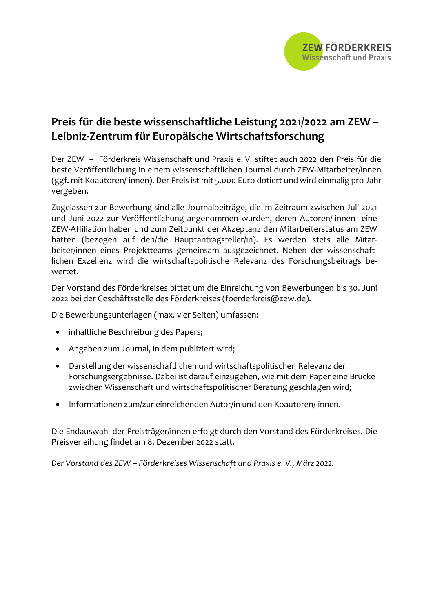

## **Preis für die beste wissenschaftliche Leistung 2021/2022 am ZEW – Leibniz-Zentrum für Europäische Wirtschaftsforschung**

Der ZEW – Förderkreis Wissenschaft und Praxis e. V. stiftet auch 2022 den Preis für die beste Veröffentlichung in einem wissenschaftlichen Journal durch ZEW-Mitarbeiter/innen (ggf. mit Koautoren/-innen). Der Preis ist mit 5.000 Euro dotiert und wird einmalig pro Jahr vergeben.

Zugelassen zur Bewerbung sind alle Journalbeiträge, die im Zeitraum zwischen Juli 2021 und Juni 2022 zur Veröffentlichung angenommen wurden, deren Autoren/-innen eine ZEW-Affiliation haben und zum Zeitpunkt der Akzeptanz den Mitarbeiterstatus am ZEW hatten (bezogen auf den/die Hauptantragsteller/in). Es werden stets alle Mitarbeiter/innen eines Projektteams gemeinsam ausgezeichnet. Neben der wissenschaftlichen Exzellenz wird die wirtschaftspolitische Relevanz des Forschungsbeitrags bewertet.

Der Vorstand des Förderkreises bittet um die Einreichung von Bewerbungen bis 30. Juni 2022 bei der Geschäftsstelle des Förderkreises (foerderkreis@zew.de).

Die Bewerbungsunterlagen (max. vier Seiten) umfassen:

- inhaltliche Beschreibung des Papers;
- Angaben zum Journal, in dem publiziert wird;
- Darstellung der wissenschaftlichen und wirtschaftspolitischen Relevanz der Forschungsergebnisse. Dabei ist darauf einzugehen, wie mit dem Paper eine Brücke zwischen Wissenschaft und wirtschaftspolitischer Beratung geschlagen wird;
- Informationen zum/zur einreichenden Autor/in und den Koautoren/-innen.

Die Endauswahl der Preisträger/innen erfolgt durch den Vorstand des Förderkreises. Die Preisverleihung findet am 8. Dezember 2022 statt.

*Der Vorstand des ZEW – Förderkreises Wissenschaft und Praxis e. V., März 2022.*